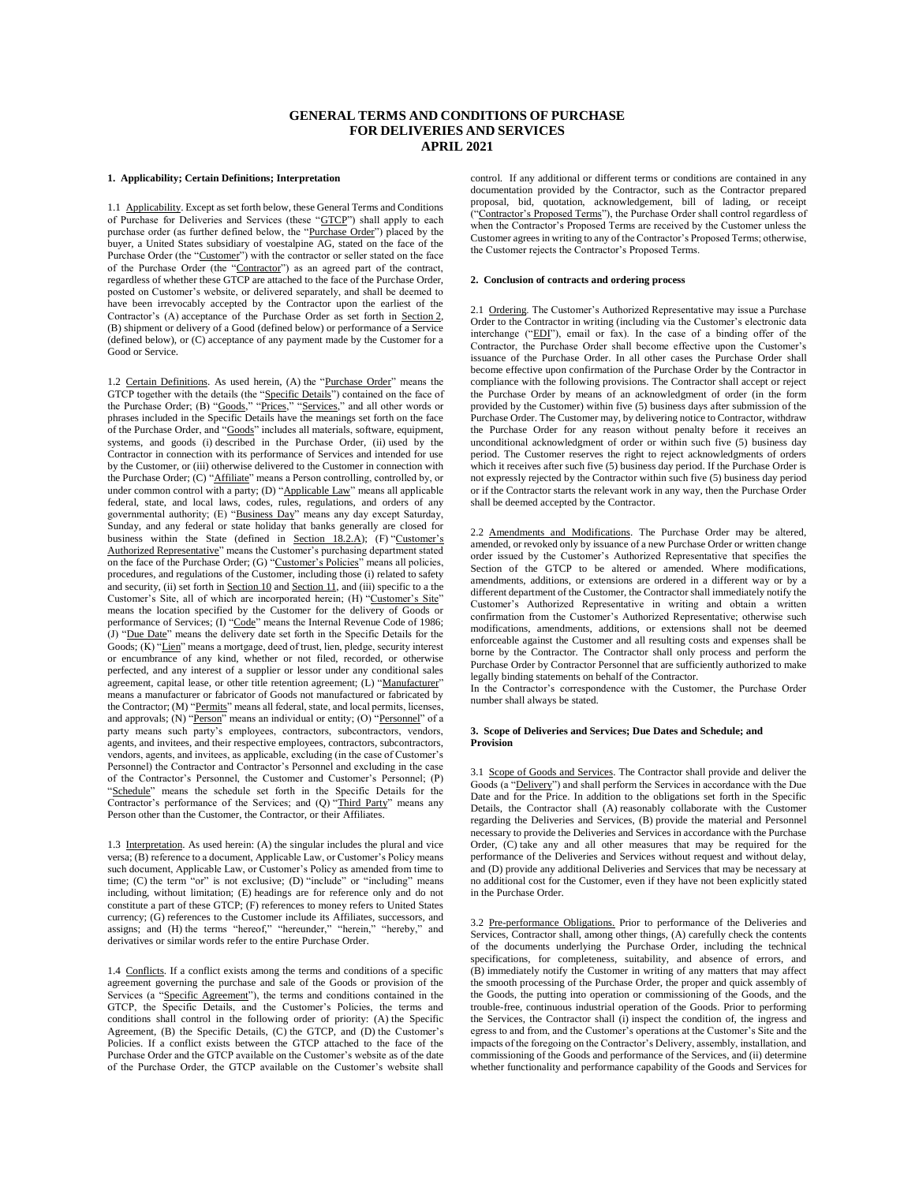# **GENERAL TERMS AND CONDITIONS OF PURCHASE FOR DELIVERIES AND SERVICES APRIL 2021**

#### **1. Applicability; Certain Definitions; Interpretation**

1.1 Applicability. Except as set forth below, these General Terms and Conditions of Purchase for Deliveries and Services (these "GTCP") shall apply to each purchase order (as further defined below, the "Purchase Order") placed by the buyer, a United States subsidiary of voestalpine AG, stated on the face of the Purchase Order (the "Customer") with the contractor or seller stated on the face of the Purchase Order (the "Contractor") as an agreed part of the contract, regardless of whether these GTCP are attached to the face of the Purchase Order, posted on Customer's website, or delivered separately, and shall be deemed to have been irrevocably accepted by the Contractor upon the earliest of the Contractor's (A) acceptance of the Purchase Order as set forth in Section 2, (B) shipment or delivery of a Good (defined below) or performance of a Service (defined below), or (C) acceptance of any payment made by the Customer for a Good or Service.

1.2 Certain Definitions. As used herein, (A) the "Purchase Order" means the GTCP together with the details (the "Specific Details") contained on the face of the Purchase Order; (B) "Goods," "Prices," "Services," and all other words or phrases included in the Specific Details have the meanings set forth on the face of the Purchase Order, and "Goods" includes all materials, software, equipment, systems, and goods (i) described in the Purchase Order, (ii) used by the Contractor in connection with its performance of Services and intended for use by the Customer, or (iii) otherwise delivered to the Customer in connection with the Purchase Order; (C) "Affiliate" means a Person controlling, controlled by, or under common control with a party; (D) "Applicable Law" means all applicable federal, state, and local laws, codes, rules, regulations, and orders of any governmental authority; (E) "Business Day" means any day except Saturday, Sunday, and any federal or state holiday that banks generally are closed for business within the State (defined in Section 18.2.A); (F) "Customer's Authorized Representative" means the Customer's purchasing department stated on the face of the Purchase Order; (G) "Customer's Policies" means all policies, procedures, and regulations of the Customer, including those (i) related to safety and security, (ii) set forth in **Section 10** and **Section 11**, and (iii) specific to a the Customer's Site, all of which are incorporated herein; (H) "Customer's Site" means the location specified by the Customer for the delivery of Goods or performance of Services; (I) "Code" means the Internal Revenue Code of 1986; (J) "Due Date" means the delivery date set forth in the Specific Details for the Goods; (K) "Lien" means a mortgage, deed of trust, lien, pledge, security interest or encumbrance of any kind, whether or not filed, recorded, or otherwise perfected, and any interest of a supplier or lessor under any conditional sales agreement, capital lease, or other title retention agreement; (L) "Manufacturer" means a manufacturer or fabricator of Goods not manufactured or fabricated by the Contractor; (M) "Permits" means all federal, state, and local permits, licenses, and approvals; (N) "Person" means an individual or entity; (O) "Personnel" of a party means such party's employees, contractors, subcontractors, vendors, agents, and invitees, and their respective employees, contractors, subcontractors, vendors, agents, and invitees, as applicable, excluding (in the case of Customer's Personnel) the Contractor and Contractor's Personnel and excluding in the case of the Contractor's Personnel, the Customer and Customer's Personnel; (P) "Schedule" means the schedule set forth in the Specific Details for the Contractor's performance of the Services; and (Q) "Third Party" means any Person other than the Customer, the Contractor, or their Affiliates.

1.3 Interpretation. As used herein: (A) the singular includes the plural and vice versa; (B) reference to a document, Applicable Law, or Customer's Policy means such document, Applicable Law, or Customer's Policy as amended from time to time; (C) the term "or" is not exclusive; (D) "include" or "including" means including, without limitation; (E) headings are for reference only and do not constitute a part of these GTCP; (F) references to money refers to United States currency; (G) references to the Customer include its Affiliates, successors, and assigns; and (H) the terms "hereof," "hereunder," "herein," "hereby," and derivatives or similar words refer to the entire Purchase Order.

1.4 Conflicts. If a conflict exists among the terms and conditions of a specific agreement governing the purchase and sale of the Goods or provision of the Services (a "Specific Agreement"), the terms and conditions contained in the GTCP, the Specific Details, and the Customer's Policies, the terms and conditions shall control in the following order of priority: (A) the Specific Agreement, (B) the Specific Details, (C) the GTCP, and (D) the Customer's Policies. If a conflict exists between the GTCP attached to the face of the Purchase Order and the GTCP available on the Customer's website as of the date of the Purchase Order, the GTCP available on the Customer's website shall control. If any additional or different terms or conditions are contained in any documentation provided by the Contractor, such as the Contractor prepared proposal, bid, quotation, acknowledgement, bill of lading, or receipt ("Contractor's Proposed Terms"), the Purchase Order shall control regardless of when the Contractor's Proposed Terms are received by the Customer unless the Customer agrees in writing to any of the Contractor's Proposed Terms; otherwise, the Customer rejects the Contractor's Proposed Terms.

# **2. Conclusion of contracts and ordering process**

2.1 Ordering. The Customer's Authorized Representative may issue a Purchase Order to the Contractor in writing (including via the Customer's electronic data interchange ("EDI"), email or fax). In the case of a binding offer of the Contractor, the Purchase Order shall become effective upon the Customer's issuance of the Purchase Order. In all other cases the Purchase Order shall become effective upon confirmation of the Purchase Order by the Contractor in compliance with the following provisions. The Contractor shall accept or reject the Purchase Order by means of an acknowledgment of order (in the form provided by the Customer) within five (5) business days after submission of the Purchase Order. The Customer may, by delivering notice to Contractor, withdraw the Purchase Order for any reason without penalty before it receives an unconditional acknowledgment of order or within such five (5) business day period. The Customer reserves the right to reject acknowledgments of orders which it receives after such five  $(5)$  business day period. If the Purchase Order is not expressly rejected by the Contractor within such five (5) business day period or if the Contractor starts the relevant work in any way, then the Purchase Order shall be deemed accepted by the Contractor.

2.2 Amendments and Modifications. The Purchase Order may be altered, amended, or revoked only by issuance of a new Purchase Order or written change order issued by the Customer's Authorized Representative that specifies the Section of the GTCP to be altered or amended. Where modifications, amendments, additions, or extensions are ordered in a different way or by a different department of the Customer, the Contractor shall immediately notify the Customer's Authorized Representative in writing and obtain a written confirmation from the Customer's Authorized Representative; otherwise such modifications, amendments, additions, or extensions shall not be deemed enforceable against the Customer and all resulting costs and expenses shall be borne by the Contractor. The Contractor shall only process and perform the Purchase Order by Contractor Personnel that are sufficiently authorized to make legally binding statements on behalf of the Contractor.

In the Contractor's correspondence with the Customer, the Purchase Order number shall always be stated.

### **3. Scope of Deliveries and Services; Due Dates and Schedule; and Provision**

3.1 Scope of Goods and Services. The Contractor shall provide and deliver the Goods (a "Delivery") and shall perform the Services in accordance with the Due Date and for the Price. In addition to the obligations set forth in the Specific Details, the Contractor shall (A) reasonably collaborate with the Customer regarding the Deliveries and Services, (B) provide the material and Personnel necessary to provide the Deliveries and Services in accordance with the Purchase Order, (C) take any and all other measures that may be required for the performance of the Deliveries and Services without request and without delay, and (D) provide any additional Deliveries and Services that may be necessary at no additional cost for the Customer, even if they have not been explicitly stated in the Purchase Order.

3.2 Pre-performance Obligations. Prior to performance of the Deliveries and Services, Contractor shall, among other things, (A) carefully check the contents of the documents underlying the Purchase Order, including the technical specifications, for completeness, suitability, and absence of errors, and (B) immediately notify the Customer in writing of any matters that may affect the smooth processing of the Purchase Order, the proper and quick assembly of the Goods, the putting into operation or commissioning of the Goods, and the trouble-free, continuous industrial operation of the Goods. Prior to performing the Services, the Contractor shall (i) inspect the condition of, the ingress and egress to and from, and the Customer's operations at the Customer's Site and the impacts of the foregoing on the Contractor's Delivery, assembly, installation, and commissioning of the Goods and performance of the Services, and (ii) determine whether functionality and performance capability of the Goods and Services for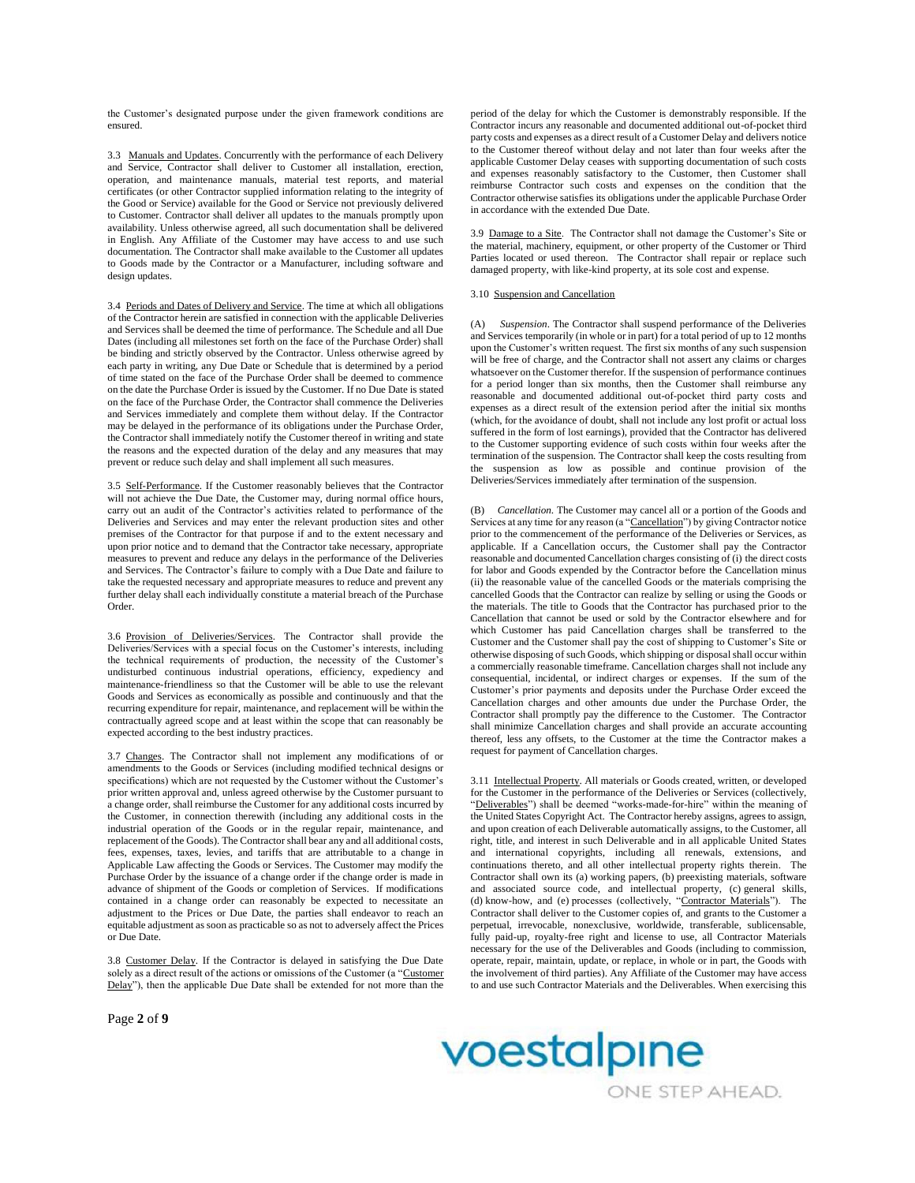the Customer's designated purpose under the given framework conditions are ensured.

3.3 Manuals and Updates. Concurrently with the performance of each Delivery and Service, Contractor shall deliver to Customer all installation, erection, operation, and maintenance manuals, material test reports, and material certificates (or other Contractor supplied information relating to the integrity of the Good or Service) available for the Good or Service not previously delivered to Customer. Contractor shall deliver all updates to the manuals promptly upon availability. Unless otherwise agreed, all such documentation shall be delivered in English. Any Affiliate of the Customer may have access to and use such documentation. The Contractor shall make available to the Customer all updates to Goods made by the Contractor or a Manufacturer, including software and design updates.

3.4 Periods and Dates of Delivery and Service. The time at which all obligations of the Contractor herein are satisfied in connection with the applicable Deliveries and Services shall be deemed the time of performance. The Schedule and all Due Dates (including all milestones set forth on the face of the Purchase Order) shall be binding and strictly observed by the Contractor. Unless otherwise agreed by each party in writing, any Due Date or Schedule that is determined by a period of time stated on the face of the Purchase Order shall be deemed to commence on the date the Purchase Order is issued by the Customer. If no Due Date is stated on the face of the Purchase Order, the Contractor shall commence the Deliveries and Services immediately and complete them without delay. If the Contractor may be delayed in the performance of its obligations under the Purchase Order, the Contractor shall immediately notify the Customer thereof in writing and state the reasons and the expected duration of the delay and any measures that may prevent or reduce such delay and shall implement all such measures.

3.5 Self-Performance. If the Customer reasonably believes that the Contractor will not achieve the Due Date, the Customer may, during normal office hours, carry out an audit of the Contractor's activities related to performance of the Deliveries and Services and may enter the relevant production sites and other premises of the Contractor for that purpose if and to the extent necessary and upon prior notice and to demand that the Contractor take necessary, appropriate measures to prevent and reduce any delays in the performance of the Deliveries and Services. The Contractor's failure to comply with a Due Date and failure to take the requested necessary and appropriate measures to reduce and prevent any further delay shall each individually constitute a material breach of the Purchase Order.

3.6 Provision of Deliveries/Services. The Contractor shall provide the Deliveries/Services with a special focus on the Customer's interests, including the technical requirements of production, the necessity of the Customer's undisturbed continuous industrial operations, efficiency, expediency and maintenance-friendliness so that the Customer will be able to use the relevant Goods and Services as economically as possible and continuously and that the recurring expenditure for repair, maintenance, and replacement will be within the contractually agreed scope and at least within the scope that can reasonably be expected according to the best industry practices.

3.7 Changes. The Contractor shall not implement any modifications of or amendments to the Goods or Services (including modified technical designs or specifications) which are not requested by the Customer without the Customer's prior written approval and, unless agreed otherwise by the Customer pursuant to a change order, shall reimburse the Customer for any additional costs incurred by the Customer, in connection therewith (including any additional costs in the industrial operation of the Goods or in the regular repair, maintenance, and replacement of the Goods). The Contractor shall bear any and all additional costs, fees, expenses, taxes, levies, and tariffs that are attributable to a change in Applicable Law affecting the Goods or Services. The Customer may modify the Purchase Order by the issuance of a change order if the change order is made in advance of shipment of the Goods or completion of Services. If modifications contained in a change order can reasonably be expected to necessitate an adjustment to the Prices or Due Date, the parties shall endeavor to reach an equitable adjustment as soon as practicable so as not to adversely affect the Prices or Due Date.

3.8 Customer Delay. If the Contractor is delayed in satisfying the Due Date solely as a direct result of the actions or omissions of the Customer (a "Customer Delay"), then the applicable Due Date shall be extended for not more than the period of the delay for which the Customer is demonstrably responsible. If the Contractor incurs any reasonable and documented additional out-of-pocket third party costs and expenses as a direct result of a Customer Delay and delivers notice to the Customer thereof without delay and not later than four weeks after the applicable Customer Delay ceases with supporting documentation of such costs and expenses reasonably satisfactory to the Customer, then Customer shall reimburse Contractor such costs and expenses on the condition that the Contractor otherwise satisfies its obligations under the applicable Purchase Order in accordance with the extended Due Date.

3.9 Damage to a Site. The Contractor shall not damage the Customer's Site or the material, machinery, equipment, or other property of the Customer or Third Parties located or used thereon. The Contractor shall repair or replace such damaged property, with like-kind property, at its sole cost and expense.

## 3.10 Suspension and Cancellation

(A) *Suspension*. The Contractor shall suspend performance of the Deliveries and Services temporarily (in whole or in part) for a total period of up to 12 months upon the Customer's written request. The first six months of any such suspension will be free of charge, and the Contractor shall not assert any claims or charges whatsoever on the Customer therefor. If the suspension of performance continues for a period longer than six months, then the Customer shall reimburse any reasonable and documented additional out-of-pocket third party costs and expenses as a direct result of the extension period after the initial six months (which, for the avoidance of doubt, shall not include any lost profit or actual loss suffered in the form of lost earnings), provided that the Contractor has delivered to the Customer supporting evidence of such costs within four weeks after the termination of the suspension. The Contractor shall keep the costs resulting from the suspension as low as possible and continue provision of the Deliveries/Services immediately after termination of the suspension.

(B) *Cancellation*. The Customer may cancel all or a portion of the Goods and Services at any time for any reason (a "Cancellation") by giving Contractor notice prior to the commencement of the performance of the Deliveries or Services, as applicable. If a Cancellation occurs, the Customer shall pay the Contractor reasonable and documented Cancellation charges consisting of (i) the direct costs for labor and Goods expended by the Contractor before the Cancellation minus (ii) the reasonable value of the cancelled Goods or the materials comprising the cancelled Goods that the Contractor can realize by selling or using the Goods or the materials. The title to Goods that the Contractor has purchased prior to the Cancellation that cannot be used or sold by the Contractor elsewhere and for which Customer has paid Cancellation charges shall be transferred to the Customer and the Customer shall pay the cost of shipping to Customer's Site or otherwise disposing of such Goods, which shipping or disposal shall occur within a commercially reasonable timeframe. Cancellation charges shall not include any consequential, incidental, or indirect charges or expenses. If the sum of the Customer's prior payments and deposits under the Purchase Order exceed the Cancellation charges and other amounts due under the Purchase Order, the Contractor shall promptly pay the difference to the Customer. The Contractor shall minimize Cancellation charges and shall provide an accurate accounting thereof, less any offsets, to the Customer at the time the Contractor makes a request for payment of Cancellation charges.

3.11 Intellectual Property. All materials or Goods created, written, or developed for the Customer in the performance of the Deliveries or Services (collectively, "Deliverables") shall be deemed "works-made-for-hire" within the meaning of the United States Copyright Act. The Contractor hereby assigns, agrees to assign, and upon creation of each Deliverable automatically assigns, to the Customer, all right, title, and interest in such Deliverable and in all applicable United States and international copyrights, including all renewals, extensions, and continuations thereto, and all other intellectual property rights therein. The Contractor shall own its (a) working papers, (b) preexisting materials, software and associated source code, and intellectual property, (c) general skills, (d) know-how, and (e) processes (collectively, "Contractor Materials"). The Contractor shall deliver to the Customer copies of, and grants to the Customer a perpetual, irrevocable, nonexclusive, worldwide, transferable, sublicensable, fully paid-up, royalty-free right and license to use, all Contractor Materials necessary for the use of the Deliverables and Goods (including to commission, operate, repair, maintain, update, or replace, in whole or in part, the Goods with the involvement of third parties). Any Affiliate of the Customer may have access to and use such Contractor Materials and the Deliverables. When exercising this

Page **2** of **9**

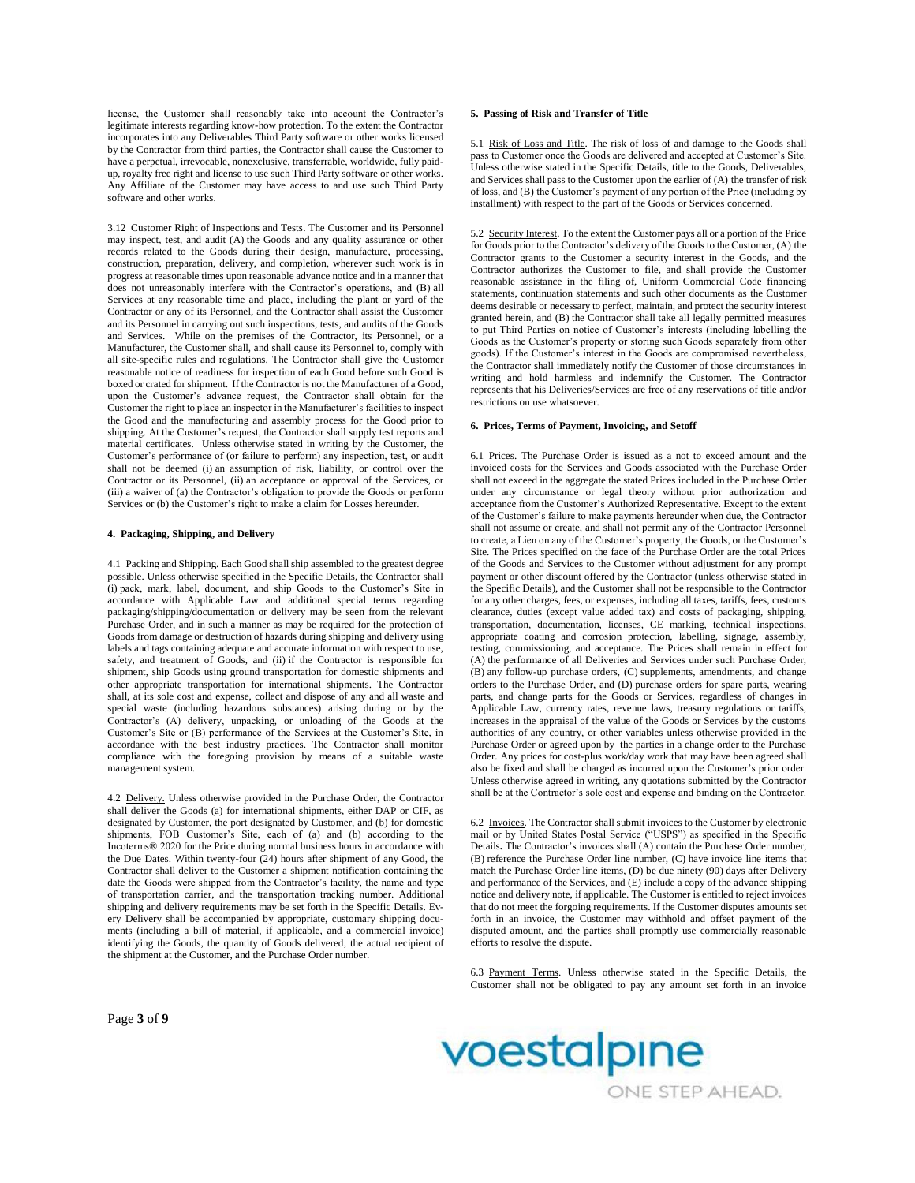license, the Customer shall reasonably take into account the Contractor's legitimate interests regarding know-how protection. To the extent the Contractor incorporates into any Deliverables Third Party software or other works licensed by the Contractor from third parties, the Contractor shall cause the Customer to have a perpetual, irrevocable, nonexclusive, transferrable, worldwide, fully paidup, royalty free right and license to use such Third Party software or other works. Any Affiliate of the Customer may have access to and use such Third Party software and other works.

3.12 Customer Right of Inspections and Tests. The Customer and its Personnel may inspect, test, and audit (A) the Goods and any quality assurance or other records related to the Goods during their design, manufacture, processing, construction, preparation, delivery, and completion, wherever such work is in progress at reasonable times upon reasonable advance notice and in a manner that does not unreasonably interfere with the Contractor's operations, and (B) all Services at any reasonable time and place, including the plant or yard of the Contractor or any of its Personnel, and the Contractor shall assist the Customer and its Personnel in carrying out such inspections, tests, and audits of the Goods and Services. While on the premises of the Contractor, its Personnel, or a Manufacturer, the Customer shall, and shall cause its Personnel to, comply with all site-specific rules and regulations. The Contractor shall give the Customer reasonable notice of readiness for inspection of each Good before such Good is boxed or crated for shipment. If the Contractor is not the Manufacturer of a Good, upon the Customer's advance request, the Contractor shall obtain for the Customer the right to place an inspector in the Manufacturer's facilities to inspect the Good and the manufacturing and assembly process for the Good prior to shipping. At the Customer's request, the Contractor shall supply test reports and material certificates. Unless otherwise stated in writing by the Customer, the Customer's performance of (or failure to perform) any inspection, test, or audit shall not be deemed (i) an assumption of risk, liability, or control over the Contractor or its Personnel, (ii) an acceptance or approval of the Services, or (iii) a waiver of (a) the Contractor's obligation to provide the Goods or perform Services or (b) the Customer's right to make a claim for Losses hereunder.

### **4. Packaging, Shipping, and Delivery**

4.1 Packing and Shipping. Each Good shall ship assembled to the greatest degree possible. Unless otherwise specified in the Specific Details, the Contractor shall (i) pack, mark, label, document, and ship Goods to the Customer's Site in accordance with Applicable Law and additional special terms regarding packaging/shipping/documentation or delivery may be seen from the relevant Purchase Order, and in such a manner as may be required for the protection of Goods from damage or destruction of hazards during shipping and delivery using labels and tags containing adequate and accurate information with respect to use, safety, and treatment of Goods, and (ii) if the Contractor is responsible for shipment, ship Goods using ground transportation for domestic shipments and other appropriate transportation for international shipments. The Contractor shall, at its sole cost and expense, collect and dispose of any and all waste and special waste (including hazardous substances) arising during or by the Contractor's (A) delivery, unpacking, or unloading of the Goods at the Customer's Site or (B) performance of the Services at the Customer's Site, in accordance with the best industry practices. The Contractor shall monitor compliance with the foregoing provision by means of a suitable waste management system.

4.2 Delivery. Unless otherwise provided in the Purchase Order, the Contractor shall deliver the Goods (a) for international shipments, either DAP or CIF, as designated by Customer, the port designated by Customer, and (b) for domestic shipments, FOB Customer's Site, each of (a) and (b) according to the Incoterms® 2020 for the Price during normal business hours in accordance with the Due Dates. Within twenty-four (24) hours after shipment of any Good, the Contractor shall deliver to the Customer a shipment notification containing the date the Goods were shipped from the Contractor's facility, the name and type of transportation carrier, and the transportation tracking number. Additional shipping and delivery requirements may be set forth in the Specific Details. Every Delivery shall be accompanied by appropriate, customary shipping documents (including a bill of material, if applicable, and a commercial invoice) identifying the Goods, the quantity of Goods delivered, the actual recipient of the shipment at the Customer, and the Purchase Order number.

# **5. Passing of Risk and Transfer of Title**

5.1 Risk of Loss and Title. The risk of loss of and damage to the Goods shall pass to Customer once the Goods are delivered and accepted at Customer's Site. Unless otherwise stated in the Specific Details, title to the Goods, Deliverables, and Services shall pass to the Customer upon the earlier of (A) the transfer of risk of loss, and (B) the Customer's payment of any portion of the Price (including by installment) with respect to the part of the Goods or Services concerned.

5.2 Security Interest. To the extent the Customer pays all or a portion of the Price for Goods prior to the Contractor's delivery of the Goods to the Customer, (A) the Contractor grants to the Customer a security interest in the Goods, and the Contractor authorizes the Customer to file, and shall provide the Customer reasonable assistance in the filing of, Uniform Commercial Code financing statements, continuation statements and such other documents as the Customer deems desirable or necessary to perfect, maintain, and protect the security interest granted herein, and (B) the Contractor shall take all legally permitted measures to put Third Parties on notice of Customer's interests (including labelling the Goods as the Customer's property or storing such Goods separately from other goods). If the Customer's interest in the Goods are compromised nevertheless, the Contractor shall immediately notify the Customer of those circumstances in writing and hold harmless and indemnify the Customer. The Contractor represents that his Deliveries/Services are free of any reservations of title and/or restrictions on use whatsoever.

## **6. Prices, Terms of Payment, Invoicing, and Setoff**

6.1 Prices. The Purchase Order is issued as a not to exceed amount and the invoiced costs for the Services and Goods associated with the Purchase Order shall not exceed in the aggregate the stated Prices included in the Purchase Order under any circumstance or legal theory without prior authorization and acceptance from the Customer's Authorized Representative. Except to the extent of the Customer's failure to make payments hereunder when due, the Contractor shall not assume or create, and shall not permit any of the Contractor Personnel to create, a Lien on any of the Customer's property, the Goods, or the Customer's Site. The Prices specified on the face of the Purchase Order are the total Prices of the Goods and Services to the Customer without adjustment for any prompt payment or other discount offered by the Contractor (unless otherwise stated in the Specific Details), and the Customer shall not be responsible to the Contractor for any other charges, fees, or expenses, including all taxes, tariffs, fees, customs clearance, duties (except value added tax) and costs of packaging, shipping, transportation, documentation, licenses, CE marking, technical inspections, appropriate coating and corrosion protection, labelling, signage, assembly, testing, commissioning, and acceptance. The Prices shall remain in effect for (A) the performance of all Deliveries and Services under such Purchase Order, (B) any follow-up purchase orders, (C) supplements, amendments, and change orders to the Purchase Order, and (D) purchase orders for spare parts, wearing parts, and change parts for the Goods or Services, regardless of changes in Applicable Law, currency rates, revenue laws, treasury regulations or tariffs, increases in the appraisal of the value of the Goods or Services by the customs authorities of any country, or other variables unless otherwise provided in the Purchase Order or agreed upon by the parties in a change order to the Purchase Order. Any prices for cost-plus work/day work that may have been agreed shall also be fixed and shall be charged as incurred upon the Customer's prior order. Unless otherwise agreed in writing, any quotations submitted by the Contractor shall be at the Contractor's sole cost and expense and binding on the Contractor.

6.2 Invoices. The Contractor shall submit invoices to the Customer by electronic mail or by United States Postal Service ("USPS") as specified in the Specific Details**.** The Contractor's invoices shall (A) contain the Purchase Order number, (B) reference the Purchase Order line number, (C) have invoice line items that match the Purchase Order line items, (D) be due ninety (90) days after Delivery and performance of the Services, and (E) include a copy of the advance shipping notice and delivery note, if applicable. The Customer is entitled to reject invoices that do not meet the forgoing requirements. If the Customer disputes amounts set forth in an invoice, the Customer may withhold and offset payment of the disputed amount, and the parties shall promptly use commercially reasonable efforts to resolve the dispute.

6.3 Payment Terms. Unless otherwise stated in the Specific Details, the Customer shall not be obligated to pay any amount set forth in an invoice



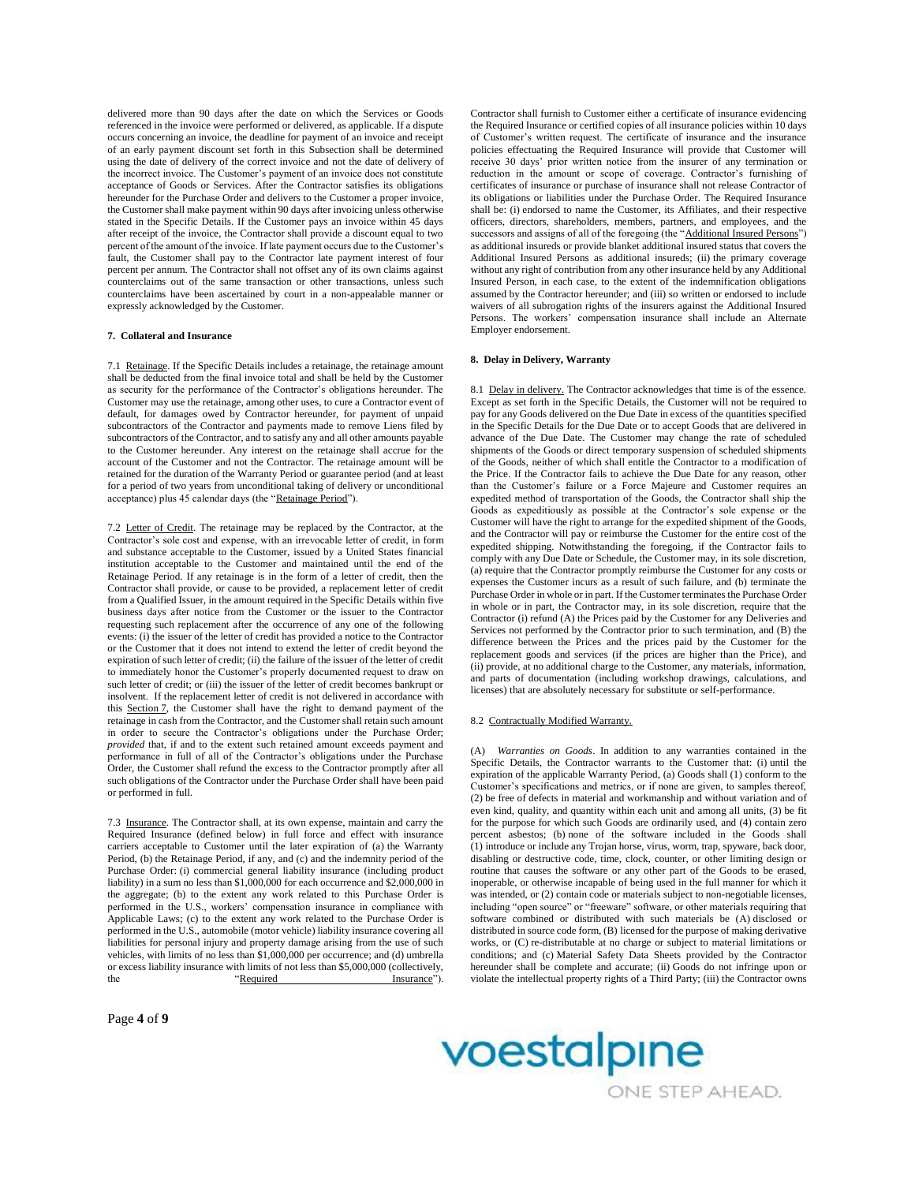delivered more than 90 days after the date on which the Services or Goods referenced in the invoice were performed or delivered, as applicable. If a dispute occurs concerning an invoice, the deadline for payment of an invoice and receipt of an early payment discount set forth in this Subsection shall be determined using the date of delivery of the correct invoice and not the date of delivery of the incorrect invoice. The Customer's payment of an invoice does not constitute acceptance of Goods or Services. After the Contractor satisfies its obligations hereunder for the Purchase Order and delivers to the Customer a proper invoice, the Customer shall make payment within 90 days after invoicing unless otherwise stated in the Specific Details. If the Customer pays an invoice within 45 days after receipt of the invoice, the Contractor shall provide a discount equal to two percent of the amount of the invoice. If late payment occurs due to the Customer's fault, the Customer shall pay to the Contractor late payment interest of four percent per annum. The Contractor shall not offset any of its own claims against counterclaims out of the same transaction or other transactions, unless such counterclaims have been ascertained by court in a non-appealable manner or expressly acknowledged by the Customer.

# **7. Collateral and Insurance**

7.1 Retainage. If the Specific Details includes a retainage, the retainage amount shall be deducted from the final invoice total and shall be held by the Customer as security for the performance of the Contractor's obligations hereunder. The Customer may use the retainage, among other uses, to cure a Contractor event of default, for damages owed by Contractor hereunder, for payment of unpaid subcontractors of the Contractor and payments made to remove Liens filed by subcontractors of the Contractor, and to satisfy any and all other amounts payable to the Customer hereunder. Any interest on the retainage shall accrue for the account of the Customer and not the Contractor. The retainage amount will be retained for the duration of the Warranty Period or guarantee period (and at least for a period of two years from unconditional taking of delivery or unconditional acceptance) plus 45 calendar days (the "Retainage Period").

7.2 Letter of Credit. The retainage may be replaced by the Contractor, at the Contractor's sole cost and expense, with an irrevocable letter of credit, in form and substance acceptable to the Customer, issued by a United States financial institution acceptable to the Customer and maintained until the end of the Retainage Period. If any retainage is in the form of a letter of credit, then the Contractor shall provide, or cause to be provided, a replacement letter of credit from a Qualified Issuer, in the amount required in the Specific Details within five business days after notice from the Customer or the issuer to the Contractor requesting such replacement after the occurrence of any one of the following events: (i) the issuer of the letter of credit has provided a notice to the Contractor or the Customer that it does not intend to extend the letter of credit beyond the expiration of such letter of credit; (ii) the failure of the issuer of the letter of credit to immediately honor the Customer's properly documented request to draw on such letter of credit; or (iii) the issuer of the letter of credit becomes bankrupt or insolvent. If the replacement letter of credit is not delivered in accordance with this Section 7, the Customer shall have the right to demand payment of the retainage in cash from the Contractor, and the Customer shall retain such amount in order to secure the Contractor's obligations under the Purchase Order; *provided* that, if and to the extent such retained amount exceeds payment and performance in full of all of the Contractor's obligations under the Purchase Order, the Customer shall refund the excess to the Contractor promptly after all such obligations of the Contractor under the Purchase Order shall have been paid or performed in full.

7.3 Insurance. The Contractor shall, at its own expense, maintain and carry the Required Insurance (defined below) in full force and effect with insurance carriers acceptable to Customer until the later expiration of (a) the Warranty Period, (b) the Retainage Period, if any, and (c) and the indemnity period of the Purchase Order: (i) commercial general liability insurance (including product liability) in a sum no less than \$1,000,000 for each occurrence and \$2,000,000 in the aggregate; (b) to the extent any work related to this Purchase Order is performed in the U.S., workers' compensation insurance in compliance with Applicable Laws; (c) to the extent any work related to the Purchase Order is performed in the U.S., automobile (motor vehicle) liability insurance covering all liabilities for personal injury and property damage arising from the use of such vehicles, with limits of no less than \$1,000,000 per occurrence; and (d) umbrella or excess liability insurance with limits of not less than \$5,000,000 (collectively, the "Required Insurance"). Insurance").

Page **4** of **9**

Contractor shall furnish to Customer either a certificate of insurance evidencing the Required Insurance or certified copies of all insurance policies within 10 days of Customer's written request. The certificate of insurance and the insurance policies effectuating the Required Insurance will provide that Customer will receive 30 days' prior written notice from the insurer of any termination or reduction in the amount or scope of coverage. Contractor's furnishing of certificates of insurance or purchase of insurance shall not release Contractor of its obligations or liabilities under the Purchase Order. The Required Insurance shall be: (i) endorsed to name the Customer, its Affiliates, and their respective officers, directors, shareholders, members, partners, and employees, and the successors and assigns of all of the foregoing (the "Additional Insured Persons") as additional insureds or provide blanket additional insured status that covers the Additional Insured Persons as additional insureds; (ii) the primary coverage without any right of contribution from any other insurance held by any Additional Insured Person, in each case, to the extent of the indemnification obligations assumed by the Contractor hereunder; and (iii) so written or endorsed to include waivers of all subrogation rights of the insurers against the Additional Insured Persons. The workers' compensation insurance shall include an Alternate Employer endorsement.

## **8. Delay in Delivery, Warranty**

8.1 Delay in delivery. The Contractor acknowledges that time is of the essence. Except as set forth in the Specific Details, the Customer will not be required to pay for any Goods delivered on the Due Date in excess of the quantities specified in the Specific Details for the Due Date or to accept Goods that are delivered in advance of the Due Date. The Customer may change the rate of scheduled shipments of the Goods or direct temporary suspension of scheduled shipments of the Goods, neither of which shall entitle the Contractor to a modification of the Price. If the Contractor fails to achieve the Due Date for any reason, other than the Customer's failure or a Force Majeure and Customer requires an expedited method of transportation of the Goods, the Contractor shall ship the Goods as expeditiously as possible at the Contractor's sole expense or the Customer will have the right to arrange for the expedited shipment of the Goods, and the Contractor will pay or reimburse the Customer for the entire cost of the expedited shipping. Notwithstanding the foregoing, if the Contractor fails to comply with any Due Date or Schedule, the Customer may, in its sole discretion, (a) require that the Contractor promptly reimburse the Customer for any costs or expenses the Customer incurs as a result of such failure, and (b) terminate the Purchase Order in whole or in part. If the Customer terminates the Purchase Order in whole or in part, the Contractor may, in its sole discretion, require that the Contractor (i) refund (A) the Prices paid by the Customer for any Deliveries and Services not performed by the Contractor prior to such termination, and (B) the difference between the Prices and the prices paid by the Customer for the replacement goods and services (if the prices are higher than the Price), and (ii) provide, at no additional charge to the Customer, any materials, information, and parts of documentation (including workshop drawings, calculations, and licenses) that are absolutely necessary for substitute or self-performance.

### 8.2 Contractually Modified Warranty.

(A) *Warranties on Goods*. In addition to any warranties contained in the Specific Details, the Contractor warrants to the Customer that: (i) until the expiration of the applicable Warranty Period, (a) Goods shall (1) conform to the Customer's specifications and metrics, or if none are given, to samples thereof, (2) be free of defects in material and workmanship and without variation and of even kind, quality, and quantity within each unit and among all units, (3) be fit for the purpose for which such Goods are ordinarily used, and (4) contain zero percent asbestos; (b) none of the software included in the Goods shall (1) introduce or include any Trojan horse, virus, worm, trap, spyware, back door, disabling or destructive code, time, clock, counter, or other limiting design or routine that causes the software or any other part of the Goods to be erased, inoperable, or otherwise incapable of being used in the full manner for which it was intended, or (2) contain code or materials subject to non-negotiable licenses, including "open source" or "freeware" software, or other materials requiring that software combined or distributed with such materials be (A) disclosed or distributed in source code form, (B) licensed for the purpose of making derivative works, or (C) re-distributable at no charge or subject to material limitations or conditions; and (c) Material Safety Data Sheets provided by the Contractor hereunder shall be complete and accurate; (ii) Goods do not infringe upon or violate the intellectual property rights of a Third Party; (iii) the Contractor owns

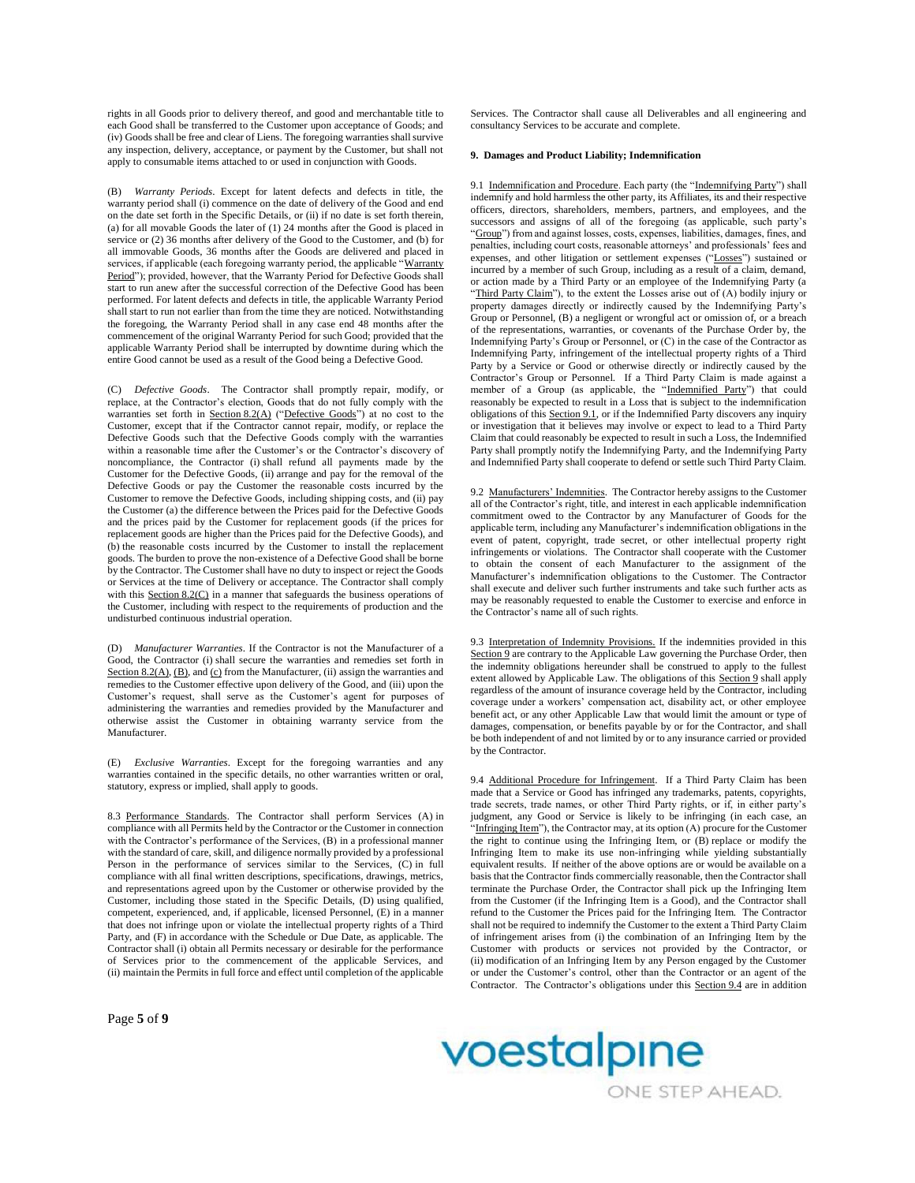rights in all Goods prior to delivery thereof, and good and merchantable title to each Good shall be transferred to the Customer upon acceptance of Goods; and (iv) Goods shall be free and clear of Liens. The foregoing warranties shall survive any inspection, delivery, acceptance, or payment by the Customer, but shall not apply to consumable items attached to or used in conjunction with Goods.

(B) *Warranty Periods*. Except for latent defects and defects in title, the warranty period shall (i) commence on the date of delivery of the Good and end on the date set forth in the Specific Details, or (ii) if no date is set forth therein, (a) for all movable Goods the later of (1) 24 months after the Good is placed in service or (2) 36 months after delivery of the Good to the Customer, and (b) for all immovable Goods, 36 months after the Goods are delivered and placed in services, if applicable (each foregoing warranty period, the applicable "Warranty Period"); provided, however, that the Warranty Period for Defective Goods shall start to run anew after the successful correction of the Defective Good has been performed. For latent defects and defects in title, the applicable Warranty Period shall start to run not earlier than from the time they are noticed. Notwithstanding the foregoing, the Warranty Period shall in any case end 48 months after the commencement of the original Warranty Period for such Good; provided that the applicable Warranty Period shall be interrupted by downtime during which the entire Good cannot be used as a result of the Good being a Defective Good.

(C) *Defective Goods*. The Contractor shall promptly repair, modify, or replace, at the Contractor's election, Goods that do not fully comply with the warranties set forth in Section 8.2(A) ("Defective Goods") at no cost to the Customer, except that if the Contractor cannot repair, modify, or replace the Defective Goods such that the Defective Goods comply with the warranties within a reasonable time after the Customer's or the Contractor's discovery of noncompliance, the Contractor (i) shall refund all payments made by the Customer for the Defective Goods, (ii) arrange and pay for the removal of the Defective Goods or pay the Customer the reasonable costs incurred by the Customer to remove the Defective Goods, including shipping costs, and (ii) pay the Customer (a) the difference between the Prices paid for the Defective Goods and the prices paid by the Customer for replacement goods (if the prices for replacement goods are higher than the Prices paid for the Defective Goods), and (b) the reasonable costs incurred by the Customer to install the replacement goods. The burden to prove the non-existence of a Defective Good shall be borne by the Contractor. The Customer shall have no duty to inspect or reject the Goods or Services at the time of Delivery or acceptance. The Contractor shall comply with this Section 8.2(C) in a manner that safeguards the business operations of the Customer, including with respect to the requirements of production and the undisturbed continuous industrial operation.

(D) *Manufacturer Warranties*. If the Contractor is not the Manufacturer of a Good, the Contractor (i) shall secure the warranties and remedies set forth in Section 8.2(A), (B), and (c) from the Manufacturer, (ii) assign the warranties and remedies to the Customer effective upon delivery of the Good, and (iii) upon the Customer's request, shall serve as the Customer's agent for purposes of administering the warranties and remedies provided by the Manufacturer and otherwise assist the Customer in obtaining warranty service from the Manufacturer.

(E) *Exclusive Warranties*. Except for the foregoing warranties and any warranties contained in the specific details, no other warranties written or oral, statutory, express or implied, shall apply to goods.

8.3 Performance Standards. The Contractor shall perform Services (A) in compliance with all Permits held by the Contractor or the Customer in connection with the Contractor's performance of the Services, (B) in a professional manner with the standard of care, skill, and diligence normally provided by a professional Person in the performance of services similar to the Services, (C) in full compliance with all final written descriptions, specifications, drawings, metrics, and representations agreed upon by the Customer or otherwise provided by the Customer, including those stated in the Specific Details, (D) using qualified, competent, experienced, and, if applicable, licensed Personnel, (E) in a manner that does not infringe upon or violate the intellectual property rights of a Third Party, and (F) in accordance with the Schedule or Due Date, as applicable. The Contractor shall (i) obtain all Permits necessary or desirable for the performance of Services prior to the commencement of the applicable Services, and (ii) maintain the Permits in full force and effect until completion of the applicable Services. The Contractor shall cause all Deliverables and all engineering and consultancy Services to be accurate and complete.

# **9. Damages and Product Liability; Indemnification**

9.1 Indemnification and Procedure. Each party (the "Indemnifying Party") shall indemnify and hold harmless the other party, its Affiliates, its and their respective officers, directors, shareholders, members, partners, and employees, and the successors and assigns of all of the foregoing (as applicable, such party's "Group") from and against losses, costs, expenses, liabilities, damages, fines, and penalties, including court costs, reasonable attorneys' and professionals' fees and expenses, and other litigation or settlement expenses ("Losses") sustained or incurred by a member of such Group, including as a result of a claim, demand, or action made by a Third Party or an employee of the Indemnifying Party (a "Third Party Claim"), to the extent the Losses arise out of (A) bodily injury or property damages directly or indirectly caused by the Indemnifying Party's Group or Personnel, (B) a negligent or wrongful act or omission of, or a breach of the representations, warranties, or covenants of the Purchase Order by, the Indemnifying Party's Group or Personnel, or (C) in the case of the Contractor as Indemnifying Party, infringement of the intellectual property rights of a Third Party by a Service or Good or otherwise directly or indirectly caused by the Contractor's Group or Personnel. If a Third Party Claim is made against a member of a Group (as applicable, the "Indemnified Party") that could reasonably be expected to result in a Loss that is subject to the indemnification obligations of this Section 9.1, or if the Indemnified Party discovers any inquiry or investigation that it believes may involve or expect to lead to a Third Party Claim that could reasonably be expected to result in such a Loss, the Indemnified Party shall promptly notify the Indemnifying Party, and the Indemnifying Party and Indemnified Party shall cooperate to defend or settle such Third Party Claim.

9.2 Manufacturers' Indemnities. The Contractor hereby assigns to the Customer all of the Contractor's right, title, and interest in each applicable indemnification commitment owed to the Contractor by any Manufacturer of Goods for the applicable term, including any Manufacturer's indemnification obligations in the event of patent, copyright, trade secret, or other intellectual property right infringements or violations. The Contractor shall cooperate with the Customer to obtain the consent of each Manufacturer to the assignment of the Manufacturer's indemnification obligations to the Customer. The Contractor shall execute and deliver such further instruments and take such further acts as may be reasonably requested to enable the Customer to exercise and enforce in the Contractor's name all of such rights.

9.3 Interpretation of Indemnity Provisions. If the indemnities provided in this Section 9 are contrary to the Applicable Law governing the Purchase Order, then the indemnity obligations hereunder shall be construed to apply to the fullest extent allowed by Applicable Law. The obligations of this Section 9 shall apply regardless of the amount of insurance coverage held by the Contractor, including coverage under a workers' compensation act, disability act, or other employee benefit act, or any other Applicable Law that would limit the amount or type of damages, compensation, or benefits payable by or for the Contractor, and shall be both independent of and not limited by or to any insurance carried or provided by the Contractor.

9.4 Additional Procedure for Infringement. If a Third Party Claim has been made that a Service or Good has infringed any trademarks, patents, copyrights, trade secrets, trade names, or other Third Party rights, or if, in either party's judgment, any Good or Service is likely to be infringing (in each case, an Infringing Item"), the Contractor may, at its option (A) procure for the Customer the right to continue using the Infringing Item, or (B) replace or modify the Infringing Item to make its use non-infringing while yielding substantially equivalent results. If neither of the above options are or would be available on a basis that the Contractor finds commercially reasonable, then the Contractor shall terminate the Purchase Order, the Contractor shall pick up the Infringing Item from the Customer (if the Infringing Item is a Good), and the Contractor shall refund to the Customer the Prices paid for the Infringing Item. The Contractor shall not be required to indemnify the Customer to the extent a Third Party Claim of infringement arises from (i) the combination of an Infringing Item by the Customer with products or services not provided by the Contractor, or (ii) modification of an Infringing Item by any Person engaged by the Customer or under the Customer's control, other than the Contractor or an agent of the Contractor. The Contractor's obligations under this Section 9.4 are in addition



ONE STEP AHEAD.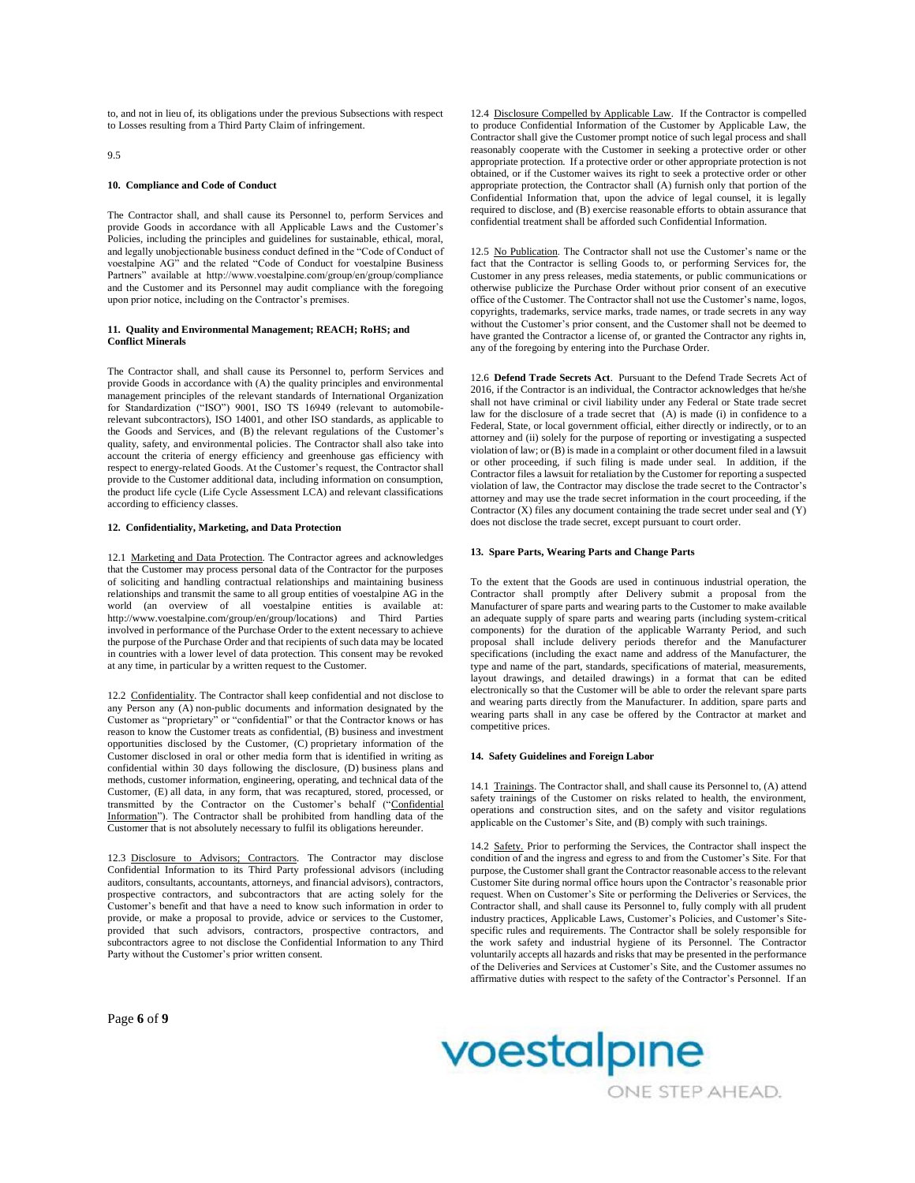to, and not in lieu of, its obligations under the previous Subsections with respect to Losses resulting from a Third Party Claim of infringement.

 $Q<sub>5</sub>$ 

#### **10. Compliance and Code of Conduct**

The Contractor shall, and shall cause its Personnel to, perform Services and provide Goods in accordance with all Applicable Laws and the Customer's Policies, including the principles and guidelines for sustainable, ethical, moral, and legally unobjectionable business conduct defined in the "Code of Conduct of voestalpine AG" and the related "Code of Conduct for voestalpine Business Partners" available at http://www.voestalpine.com/group/en/group/compliance and the Customer and its Personnel may audit compliance with the foregoing upon prior notice, including on the Contractor's premises.

#### **11. Quality and Environmental Management; REACH; RoHS; and Conflict Minerals**

The Contractor shall, and shall cause its Personnel to, perform Services and provide Goods in accordance with (A) the quality principles and environmental management principles of the relevant standards of International Organization for Standardization ("ISO") 9001, ISO TS 16949 (relevant to automobilerelevant subcontractors), ISO 14001, and other ISO standards, as applicable to the Goods and Services, and (B) the relevant regulations of the Customer's quality, safety, and environmental policies. The Contractor shall also take into account the criteria of energy efficiency and greenhouse gas efficiency with respect to energy-related Goods. At the Customer's request, the Contractor shall provide to the Customer additional data, including information on consumption, the product life cycle (Life Cycle Assessment LCA) and relevant classifications according to efficiency classes.

### **12. Confidentiality, Marketing, and Data Protection**

12.1 Marketing and Data Protection. The Contractor agrees and acknowledges that the Customer may process personal data of the Contractor for the purposes of soliciting and handling contractual relationships and maintaining business relationships and transmit the same to all group entities of voestalpine AG in the world (an overview of all voestalpine entities is available at: http://www.voestalpine.com/group/en/group/locations) and Third Parties involved in performance of the Purchase Order to the extent necessary to achieve the purpose of the Purchase Order and that recipients of such data may be located in countries with a lower level of data protection. This consent may be revoked at any time, in particular by a written request to the Customer.

12.2 Confidentiality. The Contractor shall keep confidential and not disclose to any Person any (A) non-public documents and information designated by the Customer as "proprietary" or "confidential" or that the Contractor knows or has reason to know the Customer treats as confidential, (B) business and investment opportunities disclosed by the Customer, (C) proprietary information of the Customer disclosed in oral or other media form that is identified in writing as confidential within 30 days following the disclosure, (D) business plans and methods, customer information, engineering, operating, and technical data of the Customer, (E) all data, in any form, that was recaptured, stored, processed, or transmitted by the Contractor on the Customer's behalf ("Confidential Information"). The Contractor shall be prohibited from handling data of the Customer that is not absolutely necessary to fulfil its obligations hereunder.

12.3 Disclosure to Advisors; Contractors*.* The Contractor may disclose Confidential Information to its Third Party professional advisors (including auditors, consultants, accountants, attorneys, and financial advisors), contractors, prospective contractors, and subcontractors that are acting solely for the Customer's benefit and that have a need to know such information in order to provide, or make a proposal to provide, advice or services to the Customer, provided that such advisors, contractors, prospective contractors, and subcontractors agree to not disclose the Confidential Information to any Third Party without the Customer's prior written consent.

12.4 Disclosure Compelled by Applicable Law*.* If the Contractor is compelled to produce Confidential Information of the Customer by Applicable Law, the Contractor shall give the Customer prompt notice of such legal process and shall reasonably cooperate with the Customer in seeking a protective order or other appropriate protection. If a protective order or other appropriate protection is not obtained, or if the Customer waives its right to seek a protective order or other appropriate protection, the Contractor shall (A) furnish only that portion of the Confidential Information that, upon the advice of legal counsel, it is legally required to disclose, and (B) exercise reasonable efforts to obtain assurance that confidential treatment shall be afforded such Confidential Information.

12.5 No Publication. The Contractor shall not use the Customer's name or the fact that the Contractor is selling Goods to, or performing Services for, the Customer in any press releases, media statements, or public communications or otherwise publicize the Purchase Order without prior consent of an executive office of the Customer. The Contractor shall not use the Customer's name, logos, copyrights, trademarks, service marks, trade names, or trade secrets in any way without the Customer's prior consent, and the Customer shall not be deemed to have granted the Contractor a license of, or granted the Contractor any rights in, any of the foregoing by entering into the Purchase Order.

12.6 **Defend Trade Secrets Act**. Pursuant to the Defend Trade Secrets Act of 2016, if the Contractor is an individual, the Contractor acknowledges that he/she shall not have criminal or civil liability under any Federal or State trade secret law for the disclosure of a trade secret that (A) is made (i) in confidence to a Federal, State, or local government official, either directly or indirectly, or to an attorney and (ii) solely for the purpose of reporting or investigating a suspected violation of law; or (B) is made in a complaint or other document filed in a lawsuit or other proceeding, if such filing is made under seal. In addition, if the Contractor files a lawsuit for retaliation by the Customer for reporting a suspected violation of law, the Contractor may disclose the trade secret to the Contractor's attorney and may use the trade secret information in the court proceeding, if the Contractor  $(X)$  files any document containing the trade secret under seal and  $(Y)$ does not disclose the trade secret, except pursuant to court order.

### **13. Spare Parts, Wearing Parts and Change Parts**

To the extent that the Goods are used in continuous industrial operation, the Contractor shall promptly after Delivery submit a proposal from the Manufacturer of spare parts and wearing parts to the Customer to make available an adequate supply of spare parts and wearing parts (including system-critical components) for the duration of the applicable Warranty Period, and such proposal shall include delivery periods therefor and the Manufacturer specifications (including the exact name and address of the Manufacturer, the type and name of the part, standards, specifications of material, measurements, layout drawings, and detailed drawings) in a format that can be edited electronically so that the Customer will be able to order the relevant spare parts and wearing parts directly from the Manufacturer. In addition, spare parts and wearing parts shall in any case be offered by the Contractor at market and competitive prices.

#### **14. Safety Guidelines and Foreign Labor**

14.1 Trainings. The Contractor shall, and shall cause its Personnel to, (A) attend safety trainings of the Customer on risks related to health, the environment, operations and construction sites, and on the safety and visitor regulations applicable on the Customer's Site, and (B) comply with such trainings.

14.2 Safety. Prior to performing the Services, the Contractor shall inspect the condition of and the ingress and egress to and from the Customer's Site. For that purpose, the Customer shall grant the Contractor reasonable access to the relevant Customer Site during normal office hours upon the Contractor's reasonable prior request. When on Customer's Site or performing the Deliveries or Services, the Contractor shall, and shall cause its Personnel to, fully comply with all prudent industry practices, Applicable Laws, Customer's Policies, and Customer's Sitespecific rules and requirements. The Contractor shall be solely responsible for the work safety and industrial hygiene of its Personnel. The Contractor voluntarily accepts all hazards and risks that may be presented in the performance of the Deliveries and Services at Customer's Site, and the Customer assumes no affirmative duties with respect to the safety of the Contractor's Personnel. If an

Page **6** of **9**

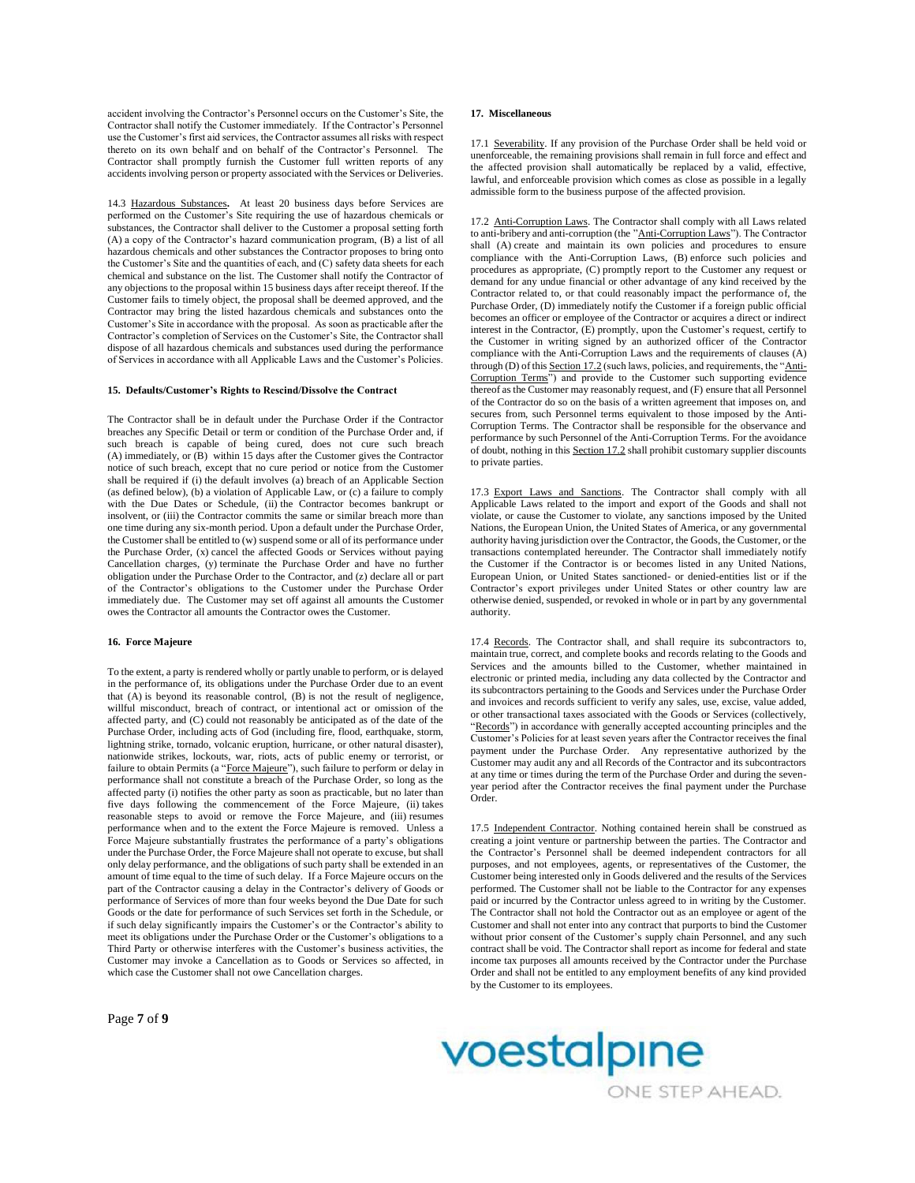accident involving the Contractor's Personnel occurs on the Customer's Site, the Contractor shall notify the Customer immediately. If the Contractor's Personnel use the Customer's first aid services, the Contractor assumes all risks with respect thereto on its own behalf and on behalf of the Contractor's Personnel. The Contractor shall promptly furnish the Customer full written reports of any accidents involving person or property associated with the Services or Deliveries.

14.3 Hazardous Substances**.** At least 20 business days before Services are performed on the Customer's Site requiring the use of hazardous chemicals or substances, the Contractor shall deliver to the Customer a proposal setting forth (A) a copy of the Contractor's hazard communication program, (B) a list of all hazardous chemicals and other substances the Contractor proposes to bring onto the Customer's Site and the quantities of each, and (C) safety data sheets for each chemical and substance on the list. The Customer shall notify the Contractor of any objections to the proposal within 15 business days after receipt thereof. If the Customer fails to timely object, the proposal shall be deemed approved, and the Contractor may bring the listed hazardous chemicals and substances onto the Customer's Site in accordance with the proposal. As soon as practicable after the Contractor's completion of Services on the Customer's Site, the Contractor shall dispose of all hazardous chemicals and substances used during the performance of Services in accordance with all Applicable Laws and the Customer's Policies.

### **15. Defaults/Customer's Rights to Rescind/Dissolve the Contract**

The Contractor shall be in default under the Purchase Order if the Contractor breaches any Specific Detail or term or condition of the Purchase Order and, if such breach is capable of being cured, does not cure such breach (A) immediately, or (B) within 15 days after the Customer gives the Contractor notice of such breach, except that no cure period or notice from the Customer shall be required if (i) the default involves (a) breach of an Applicable Section (as defined below), (b) a violation of Applicable Law, or (c) a failure to comply with the Due Dates or Schedule, (ii) the Contractor becomes bankrupt or insolvent, or (iii) the Contractor commits the same or similar breach more than one time during any six-month period. Upon a default under the Purchase Order, the Customer shall be entitled to (w) suspend some or all of its performance under the Purchase Order, (x) cancel the affected Goods or Services without paying Cancellation charges, (y) terminate the Purchase Order and have no further obligation under the Purchase Order to the Contractor, and (z) declare all or part of the Contractor's obligations to the Customer under the Purchase Order immediately due. The Customer may set off against all amounts the Customer owes the Contractor all amounts the Contractor owes the Customer.

#### **16. Force Majeure**

To the extent, a party is rendered wholly or partly unable to perform, or is delayed in the performance of, its obligations under the Purchase Order due to an event that (A) is beyond its reasonable control, (B) is not the result of negligence, willful misconduct, breach of contract, or intentional act or omission of the affected party, and (C) could not reasonably be anticipated as of the date of the Purchase Order, including acts of God (including fire, flood, earthquake, storm, lightning strike, tornado, volcanic eruption, hurricane, or other natural disaster), nationwide strikes, lockouts, war, riots, acts of public enemy or terrorist, or failure to obtain Permits (a "Force Majeure"), such failure to perform or delay in performance shall not constitute a breach of the Purchase Order, so long as the affected party (i) notifies the other party as soon as practicable, but no later than five days following the commencement of the Force Majeure, (ii) takes reasonable steps to avoid or remove the Force Majeure, and (iii) resumes performance when and to the extent the Force Majeure is removed. Unless a Force Majeure substantially frustrates the performance of a party's obligations under the Purchase Order, the Force Majeure shall not operate to excuse, but shall only delay performance, and the obligations of such party shall be extended in an amount of time equal to the time of such delay. If a Force Majeure occurs on the part of the Contractor causing a delay in the Contractor's delivery of Goods or performance of Services of more than four weeks beyond the Due Date for such Goods or the date for performance of such Services set forth in the Schedule, or if such delay significantly impairs the Customer's or the Contractor's ability to meet its obligations under the Purchase Order or the Customer's obligations to a Third Party or otherwise interferes with the Customer's business activities, the Customer may invoke a Cancellation as to Goods or Services so affected, in which case the Customer shall not owe Cancellation charges.

Page **7** of **9**

#### **17. Miscellaneous**

17.1 Severability. If any provision of the Purchase Order shall be held void or unenforceable, the remaining provisions shall remain in full force and effect and the affected provision shall automatically be replaced by a valid, effective, lawful, and enforceable provision which comes as close as possible in a legally admissible form to the business purpose of the affected provision.

17.2 Anti-Corruption Laws. The Contractor shall comply with all Laws related to anti-bribery and anti-corruption (the "Anti-Corruption Laws"). The Contractor shall (A) create and maintain its own policies and procedures to ensure compliance with the Anti-Corruption Laws, (B) enforce such policies and procedures as appropriate, (C) promptly report to the Customer any request or demand for any undue financial or other advantage of any kind received by the Contractor related to, or that could reasonably impact the performance of, the Purchase Order, (D) immediately notify the Customer if a foreign public official becomes an officer or employee of the Contractor or acquires a direct or indirect interest in the Contractor, (E) promptly, upon the Customer's request, certify to the Customer in writing signed by an authorized officer of the Contractor compliance with the Anti-Corruption Laws and the requirements of clauses (A) through (D) of this Section 17.2 (such laws, policies, and requirements, the "Anti-Corruption Terms") and provide to the Customer such supporting evidence thereof as the Customer may reasonably request, and (F) ensure that all Personnel of the Contractor do so on the basis of a written agreement that imposes on, and secures from, such Personnel terms equivalent to those imposed by the Anti-Corruption Terms. The Contractor shall be responsible for the observance and performance by such Personnel of the Anti-Corruption Terms. For the avoidance of doubt, nothing in this Section 17.2 shall prohibit customary supplier discounts to private parties.

17.3 Export Laws and Sanctions. The Contractor shall comply with all Applicable Laws related to the import and export of the Goods and shall not violate, or cause the Customer to violate, any sanctions imposed by the United Nations, the European Union, the United States of America, or any governmental authority having jurisdiction over the Contractor, the Goods, the Customer, or the transactions contemplated hereunder. The Contractor shall immediately notify the Customer if the Contractor is or becomes listed in any United Nations, European Union, or United States sanctioned- or denied-entities list or if the Contractor's export privileges under United States or other country law are otherwise denied, suspended, or revoked in whole or in part by any governmental authority.

17.4 Records. The Contractor shall, and shall require its subcontractors to, maintain true, correct, and complete books and records relating to the Goods and Services and the amounts billed to the Customer, whether maintained in electronic or printed media, including any data collected by the Contractor and its subcontractors pertaining to the Goods and Services under the Purchase Order and invoices and records sufficient to verify any sales, use, excise, value added, or other transactional taxes associated with the Goods or Services (collectively, "Records") in accordance with generally accepted accounting principles and the Customer's Policies for at least seven years after the Contractor receives the final payment under the Purchase Order. Any representative authorized by the Customer may audit any and all Records of the Contractor and its subcontractors at any time or times during the term of the Purchase Order and during the sevenyear period after the Contractor receives the final payment under the Purchase Order.

17.5 Independent Contractor. Nothing contained herein shall be construed as creating a joint venture or partnership between the parties. The Contractor and the Contractor's Personnel shall be deemed independent contractors for all purposes, and not employees, agents, or representatives of the Customer, the Customer being interested only in Goods delivered and the results of the Services performed. The Customer shall not be liable to the Contractor for any expenses paid or incurred by the Contractor unless agreed to in writing by the Customer. The Contractor shall not hold the Contractor out as an employee or agent of the Customer and shall not enter into any contract that purports to bind the Customer without prior consent of the Customer's supply chain Personnel, and any such contract shall be void. The Contractor shall report as income for federal and state income tax purposes all amounts received by the Contractor under the Purchase Order and shall not be entitled to any employment benefits of any kind provided by the Customer to its employees.

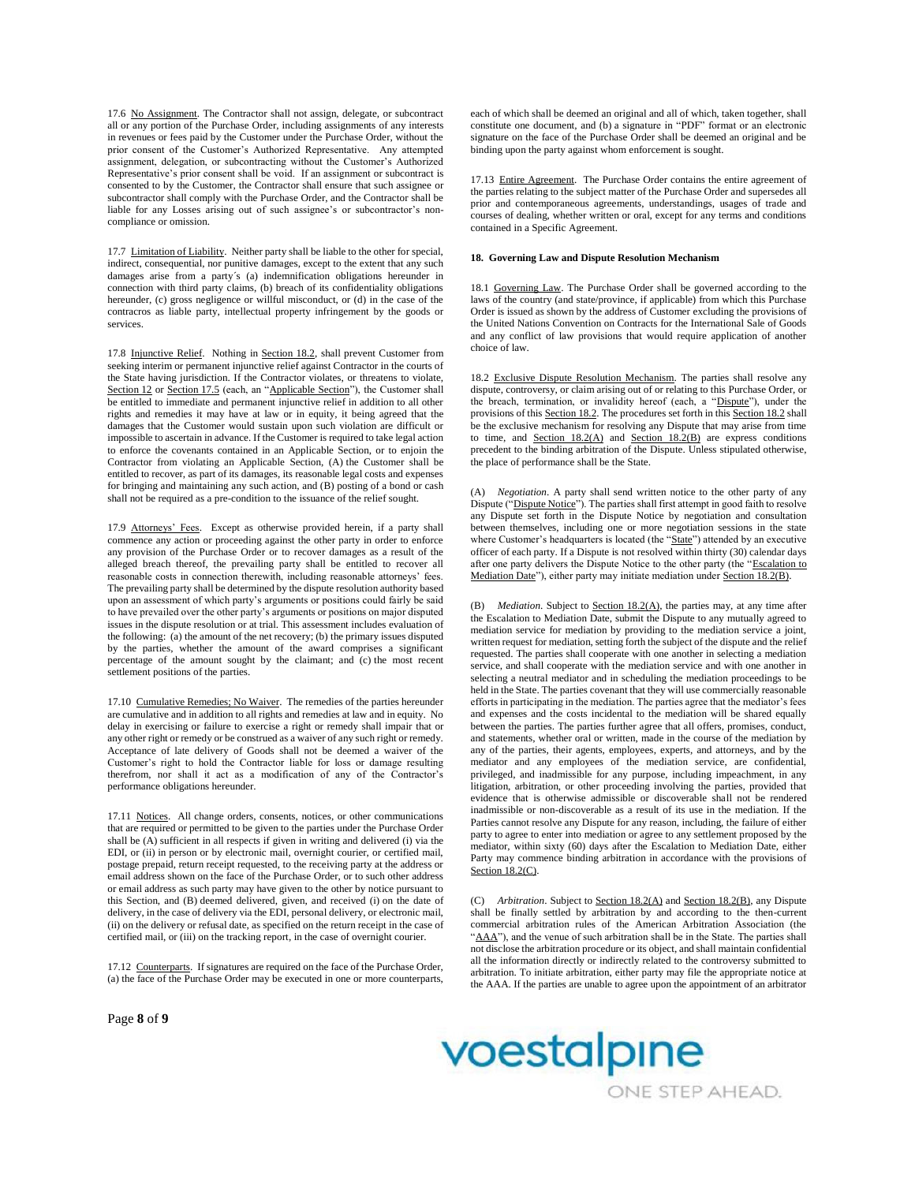17.6 No Assignment. The Contractor shall not assign, delegate, or subcontract all or any portion of the Purchase Order, including assignments of any interests in revenues or fees paid by the Customer under the Purchase Order, without the prior consent of the Customer's Authorized Representative. Any attempted assignment, delegation, or subcontracting without the Customer's Authorized Representative's prior consent shall be void. If an assignment or subcontract is consented to by the Customer, the Contractor shall ensure that such assignee or subcontractor shall comply with the Purchase Order, and the Contractor shall be liable for any Losses arising out of such assignee's or subcontractor's noncompliance or omission.

17.7 Limitation of Liability. Neither party shall be liable to the other for special, indirect, consequential, nor punitive damages, except to the extent that any such damages arise from a party´s (a) indemnification obligations hereunder in connection with third party claims, (b) breach of its confidentiality obligations hereunder, (c) gross negligence or willful misconduct, or (d) in the case of the contracros as liable party, intellectual property infringement by the goods or services.

17.8 Injunctive Relief. Nothing in Section 18.2, shall prevent Customer from seeking interim or permanent injunctive relief against Contractor in the courts of the State having jurisdiction. If the Contractor violates, or threatens to violate, Section 12 or Section 17.5 (each, an "Applicable Section"), the Customer shall be entitled to immediate and permanent injunctive relief in addition to all other rights and remedies it may have at law or in equity, it being agreed that the damages that the Customer would sustain upon such violation are difficult or impossible to ascertain in advance. If the Customer is required to take legal action to enforce the covenants contained in an Applicable Section, or to enjoin the Contractor from violating an Applicable Section, (A) the Customer shall be entitled to recover, as part of its damages, its reasonable legal costs and expenses for bringing and maintaining any such action, and (B) posting of a bond or cash shall not be required as a pre-condition to the issuance of the relief sought.

17.9 Attorneys' Fees. Except as otherwise provided herein, if a party shall commence any action or proceeding against the other party in order to enforce any provision of the Purchase Order or to recover damages as a result of the alleged breach thereof, the prevailing party shall be entitled to recover all reasonable costs in connection therewith, including reasonable attorneys' fees. The prevailing party shall be determined by the dispute resolution authority based upon an assessment of which party's arguments or positions could fairly be said to have prevailed over the other party's arguments or positions on major disputed issues in the dispute resolution or at trial. This assessment includes evaluation of the following: (a) the amount of the net recovery; (b) the primary issues disputed by the parties, whether the amount of the award comprises a significant percentage of the amount sought by the claimant; and (c) the most recent settlement positions of the parties.

17.10 Cumulative Remedies; No Waiver. The remedies of the parties hereunder are cumulative and in addition to all rights and remedies at law and in equity. No delay in exercising or failure to exercise a right or remedy shall impair that or any other right or remedy or be construed as a waiver of any such right or remedy. Acceptance of late delivery of Goods shall not be deemed a waiver of the Customer's right to hold the Contractor liable for loss or damage resulting therefrom, nor shall it act as a modification of any of the Contractor's performance obligations hereunder.

17.11 Notices. All change orders, consents, notices, or other communications that are required or permitted to be given to the parties under the Purchase Order shall be (A) sufficient in all respects if given in writing and delivered (i) via the EDI, or (ii) in person or by electronic mail, overnight courier, or certified mail, postage prepaid, return receipt requested, to the receiving party at the address or email address shown on the face of the Purchase Order, or to such other address or email address as such party may have given to the other by notice pursuant to this Section, and (B) deemed delivered, given, and received (i) on the date of delivery, in the case of delivery via the EDI, personal delivery, or electronic mail, (ii) on the delivery or refusal date, as specified on the return receipt in the case of certified mail, or (iii) on the tracking report, in the case of overnight courier.

17.12 Counterparts. If signatures are required on the face of the Purchase Order, (a) the face of the Purchase Order may be executed in one or more counterparts,

Page **8** of **9**

each of which shall be deemed an original and all of which, taken together, shall constitute one document, and (b) a signature in "PDF" format or an electronic signature on the face of the Purchase Order shall be deemed an original and be binding upon the party against whom enforcement is sought.

17.13 Entire Agreement. The Purchase Order contains the entire agreement of the parties relating to the subject matter of the Purchase Order and supersedes all prior and contemporaneous agreements, understandings, usages of trade and courses of dealing, whether written or oral, except for any terms and conditions contained in a Specific Agreement.

# **18. Governing Law and Dispute Resolution Mechanism**

18.1 Governing Law. The Purchase Order shall be governed according to the laws of the country (and state/province, if applicable) from which this Purchase Order is issued as shown by the address of Customer excluding the provisions of the United Nations Convention on Contracts for the International Sale of Goods and any conflict of law provisions that would require application of another choice of law.

18.2 Exclusive Dispute Resolution Mechanism. The parties shall resolve any dispute, controversy, or claim arising out of or relating to this Purchase Order, or the breach, termination, or invalidity hereof (each, a "Dispute"), under the provisions of this Section 18.2. The procedures set forth in this Section 18.2 shall be the exclusive mechanism for resolving any Dispute that may arise from time to time, and Section  $18.2(A)$  and Section  $18.2(B)$  are express conditions precedent to the binding arbitration of the Dispute. Unless stipulated otherwise, the place of performance shall be the State.

(A) *Negotiation*. A party shall send written notice to the other party of any Dispute ("Dispute Notice"). The parties shall first attempt in good faith to resolve any Dispute set forth in the Dispute Notice by negotiation and consultation between themselves, including one or more negotiation sessions in the state where Customer's headquarters is located (the "State") attended by an executive officer of each party. If a Dispute is not resolved within thirty (30) calendar days after one party delivers the Dispute Notice to the other party (the "Escalation to Mediation Date"), either party may initiate mediation under Section 18.2(B).

(B) *Mediation*. Subject to Section 18.2(A), the parties may, at any time after the Escalation to Mediation Date, submit the Dispute to any mutually agreed to mediation service for mediation by providing to the mediation service a joint, written request for mediation, setting forth the subject of the dispute and the relief requested. The parties shall cooperate with one another in selecting a mediation service, and shall cooperate with the mediation service and with one another in selecting a neutral mediator and in scheduling the mediation proceedings to be held in the State. The parties covenant that they will use commercially reasonable efforts in participating in the mediation. The parties agree that the mediator's fees and expenses and the costs incidental to the mediation will be shared equally between the parties. The parties further agree that all offers, promises, conduct, and statements, whether oral or written, made in the course of the mediation by any of the parties, their agents, employees, experts, and attorneys, and by the mediator and any employees of the mediation service, are confidential, privileged, and inadmissible for any purpose, including impeachment, in any litigation, arbitration, or other proceeding involving the parties, provided that evidence that is otherwise admissible or discoverable shall not be rendered inadmissible or non-discoverable as a result of its use in the mediation. If the Parties cannot resolve any Dispute for any reason, including, the failure of either party to agree to enter into mediation or agree to any settlement proposed by the mediator, within sixty (60) days after the Escalation to Mediation Date, either Party may commence binding arbitration in accordance with the provisions of Section 18.2(C).

(C) *Arbitration*. Subject to Section 18.2(A) and Section 18.2(B), any Dispute shall be finally settled by arbitration by and according to the then-current commercial arbitration rules of the American Arbitration Association (the "AAA"), and the venue of such arbitration shall be in the State. The parties shall not disclose the arbitration procedure or its object, and shall maintain confidential all the information directly or indirectly related to the controversy submitted to arbitration. To initiate arbitration, either party may file the appropriate notice at the AAA. If the parties are unable to agree upon the appointment of an arbitrator